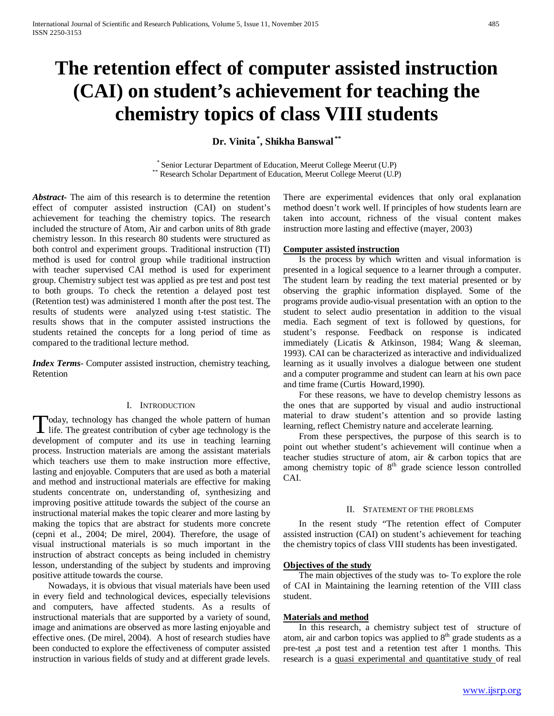# **The retention effect of computer assisted instruction (CAI) on student's achievement for teaching the chemistry topics of class VIII students**

**Dr. Vinita \* , Shikha Banswal \*\***

\* Senior Lecturar Department of Education, Meerut College Meerut (U.P) \*\* Research Scholar Department of Education, Meerut College Meerut (U.P)

*Abstract***-** The aim of this research is to determine the retention effect of computer assisted instruction (CAI) on student's achievement for teaching the chemistry topics. The research included the structure of Atom, Air and carbon units of 8th grade chemistry lesson. In this research 80 students were structured as both control and experiment groups. Traditional instruction (TI) method is used for control group while traditional instruction with teacher supervised CAI method is used for experiment group. Chemistry subject test was applied as pre test and post test to both groups. To check the retention a delayed post test (Retention test) was administered 1 month after the post test. The results of students were analyzed using t-test statistic. The results shows that in the computer assisted instructions the students retained the concepts for a long period of time as compared to the traditional lecture method.

*Index Terms*- Computer assisted instruction, chemistry teaching, Retention

# I. INTRODUCTION

oday, technology has changed the whole pattern of human Today, technology has changed the whole pattern of human life. The greatest contribution of cyber age technology is the development of computer and its use in teaching learning process. Instruction materials are among the assistant materials which teachers use them to make instruction more effective. lasting and enjoyable. Computers that are used as both a material and method and instructional materials are effective for making students concentrate on, understanding of, synthesizing and improving positive attitude towards the subject of the course an instructional material makes the topic clearer and more lasting by making the topics that are abstract for students more concrete (cepni et al., 2004; De mirel, 2004). Therefore, the usage of visual instructional materials is so much important in the instruction of abstract concepts as being included in chemistry lesson, understanding of the subject by students and improving positive attitude towards the course.

 Nowadays, it is obvious that visual materials have been used in every field and technological devices, especially televisions and computers, have affected students. As a results of instructional materials that are supported by a variety of sound, image and animations are observed as more lasting enjoyable and effective ones. (De mirel, 2004). A host of research studies have been conducted to explore the effectiveness of computer assisted instruction in various fields of study and at different grade levels.

There are experimental evidences that only oral explanation method doesn't work well. If principles of how students learn are taken into account, richness of the visual content makes instruction more lasting and effective (mayer, 2003)

#### **Computer assisted instruction**

 Is the process by which written and visual information is presented in a logical sequence to a learner through a computer. The student learn by reading the text material presented or by observing the graphic information displayed. Some of the programs provide audio-visual presentation with an option to the student to select audio presentation in addition to the visual media. Each segment of text is followed by questions, for student's response. Feedback on response is indicated immediately (Licatis & Atkinson, 1984; Wang & sleeman, 1993). CAI can be characterized as interactive and individualized learning as it usually involves a dialogue between one student and a computer programme and student can learn at his own pace and time frame (Curtis Howard,1990).

 For these reasons, we have to develop chemistry lessons as the ones that are supported by visual and audio instructional material to draw student's attention and so provide lasting learning, reflect Chemistry nature and accelerate learning.

 From these perspectives, the purpose of this search is to point out whether student's achievement will continue when a teacher studies structure of atom, air & carbon topics that are among chemistry topic of  $8<sup>th</sup>$  grade science lesson controlled CAI.

#### II. STATEMENT OF THE PROBLEMS

 In the resent study "The retention effect of Computer assisted instruction (CAI) on student's achievement for teaching the chemistry topics of class VIII students has been investigated.

#### **Objectives of the study**

 The main objectives of the study was to- To explore the role of CAI in Maintaining the learning retention of the VIII class student.

## **Materials and method**

 In this research, a chemistry subject test of structure of atom, air and carbon topics was applied to  $8<sup>th</sup>$  grade students as a pre-test ,a post test and a retention test after 1 months. This research is a quasi experimental and quantitative study of real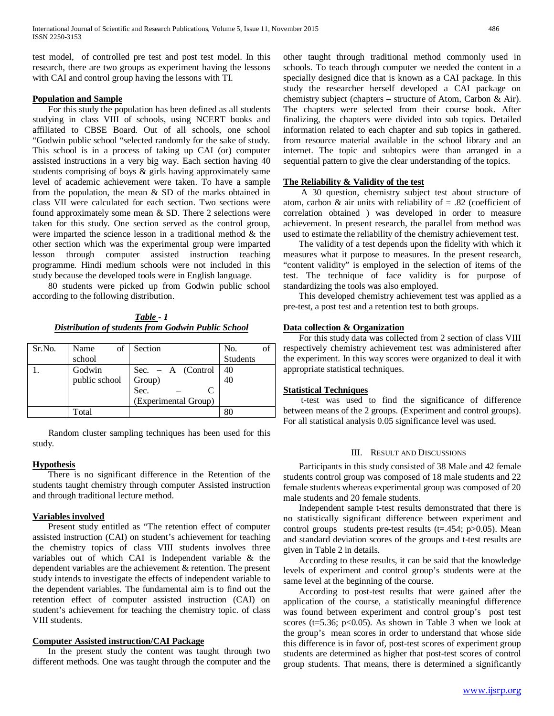test model, of controlled pre test and post test model. In this research, there are two groups as experiment having the lessons with CAI and control group having the lessons with TI.

### **Population and Sample**

 For this study the population has been defined as all students studying in class VIII of schools, using NCERT books and affiliated to CBSE Board. Out of all schools, one school "Godwin public school "selected randomly for the sake of study. This school is in a process of taking up CAI (or) computer assisted instructions in a very big way. Each section having 40 students comprising of boys & girls having approximately same level of academic achievement were taken. To have a sample from the population, the mean & SD of the marks obtained in class VII were calculated for each section. Two sections were found approximately some mean & SD. There 2 selections were taken for this study. One section served as the control group, were imparted the science lesson in a traditional method & the other section which was the experimental group were imparted lesson through computer assisted instruction teaching programme. Hindi medium schools were not included in this study because the developed tools were in English language.

 80 students were picked up from Godwin public school according to the following distribution.

*Table - 1 Distribution of students from Godwin Public School*

| Sr.No. | of<br>Name    | Section                                 | No.             |
|--------|---------------|-----------------------------------------|-----------------|
|        | school        |                                         | <b>Students</b> |
|        | Godwin        |                                         | 40              |
|        | public school | Sec. – A (Control<br>Group)<br>Sec. – C | 40              |
|        |               |                                         |                 |
|        |               | (Experimental Group)                    |                 |
|        | Total         |                                         |                 |
|        |               |                                         |                 |

 Random cluster sampling techniques has been used for this study.

# **Hypothesis**

 There is no significant difference in the Retention of the students taught chemistry through computer Assisted instruction and through traditional lecture method.

### **Variables involved**

 Present study entitled as "The retention effect of computer assisted instruction (CAI) on student's achievement for teaching the chemistry topics of class VIII students involves three variables out of which CAI is Independent variable & the dependent variables are the achievement & retention. The present study intends to investigate the effects of independent variable to the dependent variables. The fundamental aim is to find out the retention effect of computer assisted instruction (CAI) on student's achievement for teaching the chemistry topic. of class VIII students.

## **Computer Assisted instruction/CAI Package**

 In the present study the content was taught through two different methods. One was taught through the computer and the other taught through traditional method commonly used in schools. To teach through computer we needed the content in a specially designed dice that is known as a CAI package. In this study the researcher herself developed a CAI package on chemistry subject (chapters – structure of Atom, Carbon & Air). The chapters were selected from their course book. After finalizing, the chapters were divided into sub topics. Detailed information related to each chapter and sub topics in gathered. from resource material available in the school library and an internet. The topic and subtopics were than arranged in a sequential pattern to give the clear understanding of the topics.

# **The Reliability & Validity of the test**

 A 30 question, chemistry subject test about structure of atom, carbon & air units with reliability of  $= .82$  (coefficient of correlation obtained ) was developed in order to measure achievement. In present research, the parallel from method was used to estimate the reliability of the chemistry achievement test.

 The validity of a test depends upon the fidelity with which it measures what it purpose to measures. In the present research, "content validity" is employed in the selection of items of the test. The technique of face validity is for purpose of standardizing the tools was also employed.

 This developed chemistry achievement test was applied as a pre-test, a post test and a retention test to both groups.

# **Data collection & Organization**

 For this study data was collected from 2 section of class VIII respectively chemistry achievement test was administered after the experiment. In this way scores were organized to deal it with appropriate statistical techniques.

#### **Statistical Techniques**

 t-test was used to find the significance of difference between means of the 2 groups. (Experiment and control groups). For all statistical analysis 0.05 significance level was used.

## III. RESULT AND DISCUSSIONS

 Participants in this study consisted of 38 Male and 42 female students control group was composed of 18 male students and 22 female students whereas experimental group was composed of 20 male students and 20 female students.

 Independent sample t-test results demonstrated that there is no statistically significant difference between experiment and control groups students pre-test results  $(t=0.454; p>0.05)$ . Mean and standard deviation scores of the groups and t-test results are given in Table 2 in details.

 According to these results, it can be said that the knowledge levels of experiment and control group's students were at the same level at the beginning of the course.

 According to post-test results that were gained after the application of the course, a statistically meaningful difference was found between experiment and control group's post test scores ( $t=5.36$ ;  $p<0.05$ ). As shown in Table 3 when we look at the group's mean scores in order to understand that whose side this difference is in favor of, post-test scores of experiment group students are determined as higher that post-test scores of control group students. That means, there is determined a significantly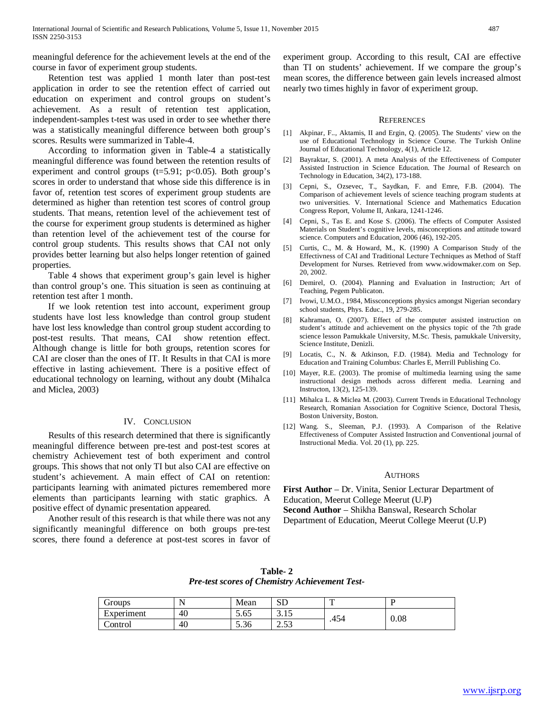meaningful deference for the achievement levels at the end of the course in favor of experiment group students.

 Retention test was applied 1 month later than post-test application in order to see the retention effect of carried out education on experiment and control groups on student's achievement. As a result of retention test application, independent-samples t-test was used in order to see whether there was a statistically meaningful difference between both group's scores. Results were summarized in Table-4.

 According to information given in Table-4 a statistically meaningful difference was found between the retention results of experiment and control groups ( $t=5.91$ ;  $p<0.05$ ). Both group's scores in order to understand that whose side this difference is in favor of, retention test scores of experiment group students are determined as higher than retention test scores of control group students. That means, retention level of the achievement test of the course for experiment group students is determined as higher than retention level of the achievement test of the course for control group students. This results shows that CAI not only provides better learning but also helps longer retention of gained properties.

 Table 4 shows that experiment group's gain level is higher than control group's one. This situation is seen as continuing at retention test after 1 month.

 If we look retention test into account, experiment group students have lost less knowledge than control group student have lost less knowledge than control group student according to post-test results. That means, CAI show retention effect. Although change is little for both groups, retention scores for CAI are closer than the ones of IT. It Results in that CAI is more effective in lasting achievement. There is a positive effect of educational technology on learning, without any doubt (Mihalca and Miclea, 2003)

# IV. CONCLUSION

 Results of this research determined that there is significantly meaningful difference between pre-test and post-test scores at chemistry Achievement test of both experiment and control groups. This shows that not only TI but also CAI are effective on student's achievement. A main effect of CAI on retention: participants learning with animated pictures remembered more elements than participants learning with static graphics. A positive effect of dynamic presentation appeared.

 Another result of this research is that while there was not any significantly meaningful difference on both groups pre-test scores, there found a deference at post-test scores in favor of experiment group. According to this result, CAI are effective than TI on students' achievement. If we compare the group's mean scores, the difference between gain levels increased almost nearly two times highly in favor of experiment group.

#### **REFERENCES**

- [1] Akpinar, F.., Aktamis, II and Ergin, Q. (2005). The Students' view on the use of Educational Technology in Science Course. The Turkish Online Journal of Educational Technology, 4(1), Article 12.
- [2] Bayraktar, S. (2001). A meta Analysis of the Effectiveness of Computer Assisted Instruction in Science Education. The Journal of Research on Technology in Education, 34(2), 173-188.
- [3] Cepni, S., Ozsevec, T., Saydkan, F. and Emre, F.B. (2004). The Comparison of achievement levels of science teaching program students at two universities. V. International Science and Mathematics Education Congress Report, Volume II, Ankara, 1241-1246.
- [4] Cepni, S., Tas E. and Kose S. (2006). The effects of Computer Assisted Materials on Student's cognitive levels, misconceptions and attitude toward science. Computers and Education, 2006 (46), 192-205.
- [5] Curtis, C., M. & Howard, M., K. (1990) A Comparison Study of the Effectivness of CAI and Traditional Lecture Techniques as Method of Staff Development for Nurses. Retrieved from www.widowmaker.com on Sep. 20, 2002.
- [6] Demirel, O. (2004). Planning and Evaluation in Instruction; Art of Teaching, Pegem Publicaton.
- [7] Ivowi, U.M.O., 1984, Missconceptions physics amongst Nigerian secondary school students, Phys. Educ., 19, 279-285.
- [8] Kahraman, O. (2007). Effect of the computer assisted instruction on student's attitude and achievement on the physics topic of the 7th grade science lesson Pamukkale University, M.Sc. Thesis, pamukkale University, Science Institute, Denizli.
- [9] Locatis, C., N. & Atkinson, F.D. (1984). Media and Technology for Education and Training Columbus: Charles E, Merrill Publishing Co.
- [10] Mayer, R.E. (2003). The promise of multimedia learning using the same instructional design methods across different media. Learning and Instructon, 13(2), 125-139.
- [11] Mihalca L. & Miclea M. (2003). Current Trends in Educational Technology Research, Romanian Association for Cognitive Science, Doctoral Thesis, Boston University, Boston.
- [12] Wang. S., Sleeman, P.J. (1993). A Comparison of the Relative Effectiveness of Computer Assisted Instruction and Conventional journal of Instructional Media. Vol. 20 (1), pp. 225.

#### **AUTHORS**

**First Author** – Dr. Vinita, Senior Lecturar Department of Education, Meerut College Meerut (U.P) **Second Author** – Shikha Banswal, Research Scholar Department of Education, Meerut College Meerut (U.P)

| The test secrets of chemistry remember 10st |    |      |        |      |      |  |
|---------------------------------------------|----|------|--------|------|------|--|
| Groups                                      |    | Mean |        |      |      |  |
| Experiment                                  | 40 | 5.65 | J. I J | .454 | 0.08 |  |
| Control                                     | 40 | 5.36 | 2.53   |      |      |  |

**Table- 2** *Pre-test scores of Chemistry Achievement Test-*